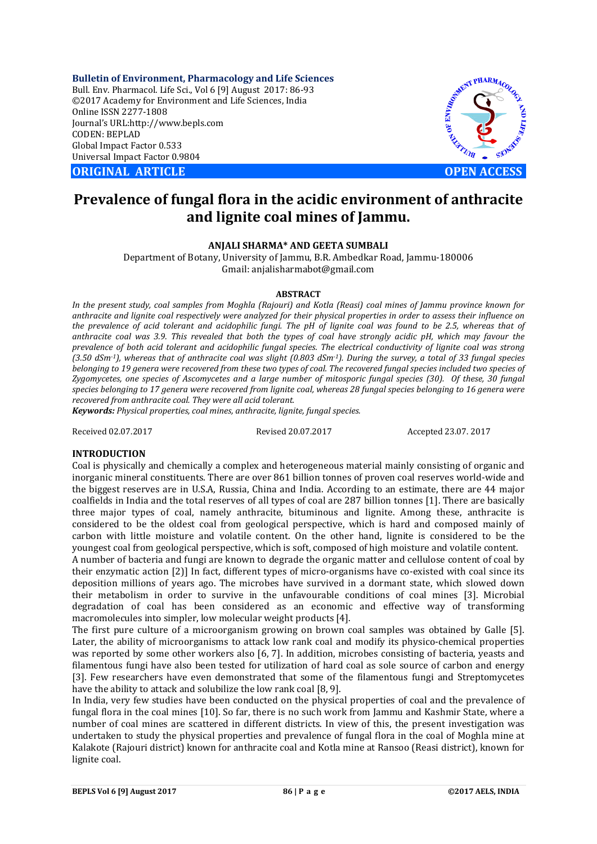**Bulletin of Environment, Pharmacology and Life Sciences** Bull. Env. Pharmacol. Life Sci., Vol 6 [9] August 2017: 86-93 ©2017 Academy for Environment and Life Sciences, India Online ISSN 2277-1808 Journal's URL:http://www.bepls.com CODEN: BEPLAD Global Impact Factor 0.533 Universal Impact Factor 0.9804

**CORIGINAL ARTICLE CONSUMING ARTICLE CONSUMING A REPORT OF A LIGHT AND A REPORT OF A LIGHT AND A LIGHT AND A LIGHT AND A LIGHT AND A LIGHT AND A LIGHT AND A LIGHT AND A LIGHT AND A LIGHT AND A LIGHT AND A LIGHT AND A L** 



# **Prevalence of fungal flora in the acidic environment of anthracite and lignite coal mines of Jammu.**

# **ANJALI SHARMA\* AND GEETA SUMBALI**

Department of Botany, University of Jammu, B.R. Ambedkar Road, Jammu-180006 Gmail: anjalisharmabot@gmail.com

#### **ABSTRACT**

*In the present study, coal samples from Moghla (Rajouri) and Kotla (Reasi) coal mines of Jammu province known for anthracite and lignite coal respectively were analyzed for their physical properties in order to assess their influence on the prevalence of acid tolerant and acidophilic fungi. The pH of lignite coal was found to be 2.5, whereas that of anthracite coal was 3.9. This revealed that both the types of coal have strongly acidic pH, which may favour the prevalence of both acid tolerant and acidophilic fungal species. The electrical conductivity of lignite coal was strong (3.50 dSm-1), whereas that of anthracite coal was slight (0.803 dSm-1). During the survey, a total of 33 fungal species belonging to 19 genera were recovered from these two types of coal. The recovered fungal species included two species of Zygomycetes, one species of Ascomycetes and a large number of mitosporic fungal species (30). Of these, 30 fungal species belonging to 17 genera were recovered from lignite coal, whereas 28 fungal species belonging to 16 genera were recovered from anthracite coal. They were all acid tolerant.*

*Keywords: Physical properties, coal mines, anthracite, lignite, fungal species.*

Received 02.07.2017 Revised 20.07.2017 Accepted 23.07. 2017

# **INTRODUCTION**

Coal is physically and chemically a complex and heterogeneous material mainly consisting of organic and inorganic mineral constituents. There are over 861 billion tonnes of proven coal reserves world-wide and the biggest reserves are in U.S.A, Russia, China and India. According to an estimate, there are 44 major coalfields in India and the total reserves of all types of coal are 287 billion tonnes [1]. There are basically three major types of coal, namely anthracite, bituminous and lignite. Among these, anthracite is considered to be the oldest coal from geological perspective, which is hard and composed mainly of carbon with little moisture and volatile content. On the other hand, lignite is considered to be the youngest coal from geological perspective, which is soft, composed of high moisture and volatile content.

A number of bacteria and fungi are known to degrade the organic matter and cellulose content of coal by their enzymatic action [2)] In fact, different types of micro-organisms have co-existed with coal since its deposition millions of years ago. The microbes have survived in a dormant state, which slowed down their metabolism in order to survive in the unfavourable conditions of coal mines [3]. Microbial degradation of coal has been considered as an economic and effective way of transforming macromolecules into simpler, low molecular weight products [4].

The first pure culture of a microorganism growing on brown coal samples was obtained by Galle [5]. Later, the ability of microorganisms to attack low rank coal and modify its physico-chemical properties was reported by some other workers also [6, 7]. In addition, microbes consisting of bacteria, veasts and filamentous fungi have also been tested for utilization of hard coal as sole source of carbon and energy [3]. Few researchers have even demonstrated that some of the filamentous fungi and Streptomycetes have the ability to attack and solubilize the low rank coal [8, 9].

In India, very few studies have been conducted on the physical properties of coal and the prevalence of fungal flora in the coal mines [10]. So far, there is no such work from Jammu and Kashmir State, where a number of coal mines are scattered in different districts. In view of this, the present investigation was undertaken to study the physical properties and prevalence of fungal flora in the coal of Moghla mine at Kalakote (Rajouri district) known for anthracite coal and Kotla mine at Ransoo (Reasi district), known for lignite coal.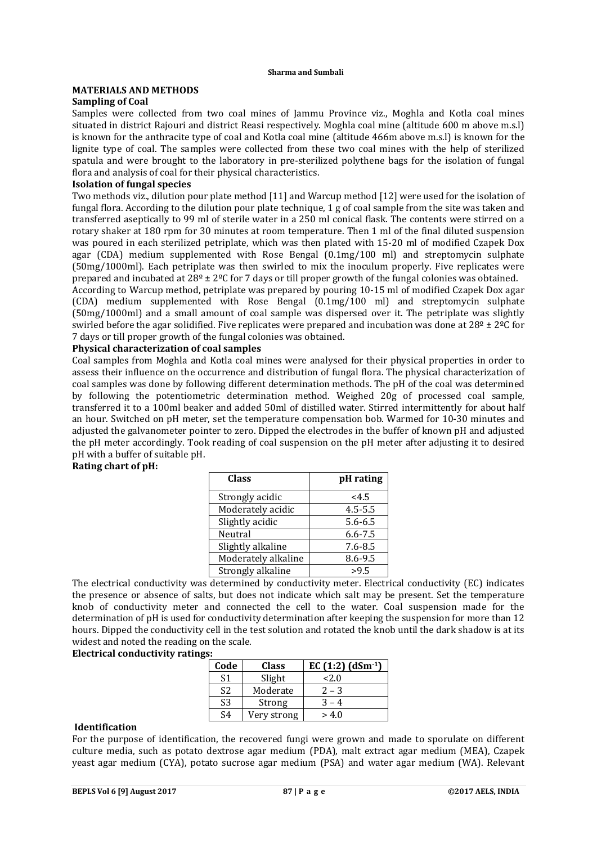# **MATERIALS AND METHODS**

### **Sampling of Coal**

Samples were collected from two coal mines of Jammu Province viz., Moghla and Kotla coal mines situated in district Rajouri and district Reasi respectively. Moghla coal mine (altitude 600 m above m.s.l) is known for the anthracite type of coal and Kotla coal mine (altitude 466m above m.s.l) is known for the lignite type of coal. The samples were collected from these two coal mines with the help of sterilized spatula and were brought to the laboratory in pre-sterilized polythene bags for the isolation of fungal flora and analysis of coal for their physical characteristics.

# **Isolation of fungal species**

Two methods viz., dilution pour plate method [11] and Warcup method [12] were used for the isolation of fungal flora. According to the dilution pour plate technique, 1 g of coal sample from the site was taken and transferred aseptically to 99 ml of sterile water in a 250 ml conical flask. The contents were stirred on a rotary shaker at 180 rpm for 30 minutes at room temperature. Then 1 ml of the final diluted suspension was poured in each sterilized petriplate, which was then plated with 15-20 ml of modified Czapek Dox agar (CDA) medium supplemented with Rose Bengal (0.1mg/100 ml) and streptomycin sulphate (50mg/1000ml). Each petriplate was then swirled to mix the inoculum properly. Five replicates were prepared and incubated at  $28^{\circ} \pm 2^{\circ}$ C for 7 days or till proper growth of the fungal colonies was obtained. According to Warcup method, petriplate was prepared by pouring 10-15 ml of modified Czapek Dox agar

(CDA) medium supplemented with Rose Bengal (0.1mg/100 ml) and streptomycin sulphate (50mg/1000ml) and a small amount of coal sample was dispersed over it. The petriplate was slightly swirled before the agar solidified. Five replicates were prepared and incubation was done at  $28^{\circ} \pm 2^{\circ}C$  for 7 days or till proper growth of the fungal colonies was obtained.

# **Physical characterization of coal samples**

Coal samples from Moghla and Kotla coal mines were analysed for their physical properties in order to assess their influence on the occurrence and distribution of fungal flora. The physical characterization of coal samples was done by following different determination methods. The pH of the coal was determined by following the potentiometric determination method. Weighed 20g of processed coal sample, transferred it to a 100ml beaker and added 50ml of distilled water. Stirred intermittently for about half an hour. Switched on pH meter, set the temperature compensation bob. Warmed for 10-30 minutes and adjusted the galvanometer pointer to zero. Dipped the electrodes in the buffer of known pH and adjusted the pH meter accordingly. Took reading of coal suspension on the pH meter after adjusting it to desired pH with a buffer of suitable pH.

### **Rating chart of pH:**

| <b>Class</b>        | pH rating   |
|---------------------|-------------|
| Strongly acidic     | <4.5        |
| Moderately acidic   | $4.5 - 5.5$ |
| Slightly acidic     | $5.6 - 6.5$ |
| Neutral             | $6.6 - 7.5$ |
| Slightly alkaline   | $7.6 - 8.5$ |
| Moderately alkaline | 8.6-9.5     |
| Strongly alkaline   | >9.5        |

The electrical conductivity was determined by conductivity meter. Electrical conductivity (EC) indicates the presence or absence of salts, but does not indicate which salt may be present. Set the temperature knob of conductivity meter and connected the cell to the water. Coal suspension made for the determination of pH is used for conductivity determination after keeping the suspension for more than 12 hours. Dipped the conductivity cell in the test solution and rotated the knob until the dark shadow is at its widest and noted the reading on the scale.

**Electrical conductivity ratings:**

| Code           | <b>Class</b> | EC $(1:2)$ $(dSm^{-1})$ |
|----------------|--------------|-------------------------|
| S <sub>1</sub> | Slight       | 2.0                     |
| S <sub>2</sub> | Moderate     | $2 - 3$                 |
| S <sub>3</sub> | Strong       | $3 - 4$                 |
| S4             | Very strong  | > 4.0                   |

### **Identification**

For the purpose of identification, the recovered fungi were grown and made to sporulate on different culture media, such as potato dextrose agar medium (PDA), malt extract agar medium (MEA), Czapek yeast agar medium (CYA), potato sucrose agar medium (PSA) and water agar medium (WA). Relevant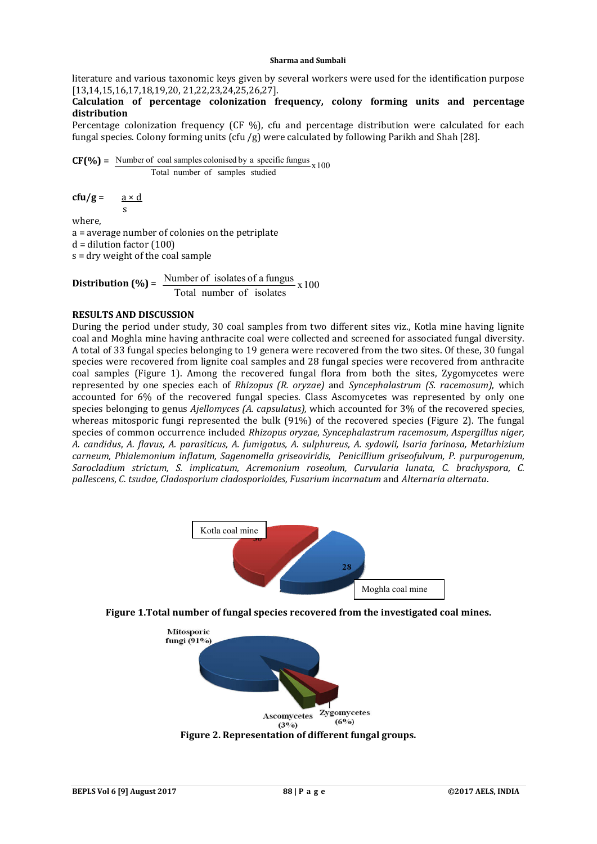literature and various taxonomic keys given by several workers were used for the identification purpose [13,14,15,16,17,18,19,20, 21,22,23,24,25,26,27].

# **Calculation of percentage colonization frequency, colony forming units and percentage distribution**

Percentage colonization frequency (CF %), cfu and percentage distribution were calculated for each fungal species. Colony forming units (cfu /g) were calculated by following Parikh and Shah [28].

 $CF(\%)$  = Number of coal samples colonised by a specific fungus  $x100$ Total number of samples studied

 $cfu/g = \frac{a \times d}{a \times d}$ s

where,

a = average number of colonies on the petriplate  $d =$  dilution factor  $(100)$ s = dry weight of the coal sample

**Distribution (%)** =  $\frac{\text{Number of isolates of a fungus}}{\text{mean of } \text{Simplies}} \times 100$ Total number of isolates

# **RESULTS AND DISCUSSION**

During the period under study, 30 coal samples from two different sites viz., Kotla mine having lignite coal and Moghla mine having anthracite coal were collected and screened for associated fungal diversity. A total of 33 fungal species belonging to 19 genera were recovered from the two sites. Of these, 30 fungal species were recovered from lignite coal samples and 28 fungal species were recovered from anthracite coal samples (Figure 1). Among the recovered fungal flora from both the sites, Zygomycetes were represented by one species each of *Rhizopus (R. oryzae)* and *Syncephalastrum (S. racemosum)*, which accounted for 6% of the recovered fungal species. Class Ascomycetes was represented by only one species belonging to genus *Ajellomyces (A. capsulatus),* which accounted for 3% of the recovered species, whereas mitosporic fungi represented the bulk (91%) of the recovered species (Figure 2). The fungal species of common occurrence included *Rhizopus oryzae*, *Syncephalastrum racemosum*, *Aspergillus niger, A. candidus*, *A. flavus, A. parasiticus, A. fumigatus, A. sulphureus, A. sydowii, Isaria farinosa, Metarhizium carneum, Phialemonium inflatum, Sagenomella griseoviridis, Penicillium griseofulvum, P. purpurogenum, Sarocladium strictum, S. implicatum, Acremonium roseolum, Curvularia lunata, C. brachyspora, C. pallescens*, *C. tsudae, Cladosporium cladosporioides, Fusarium incarnatum* and *Alternaria alternata*.



**Figure 1.Total number of fungal species recovered from the investigated coal mines.**



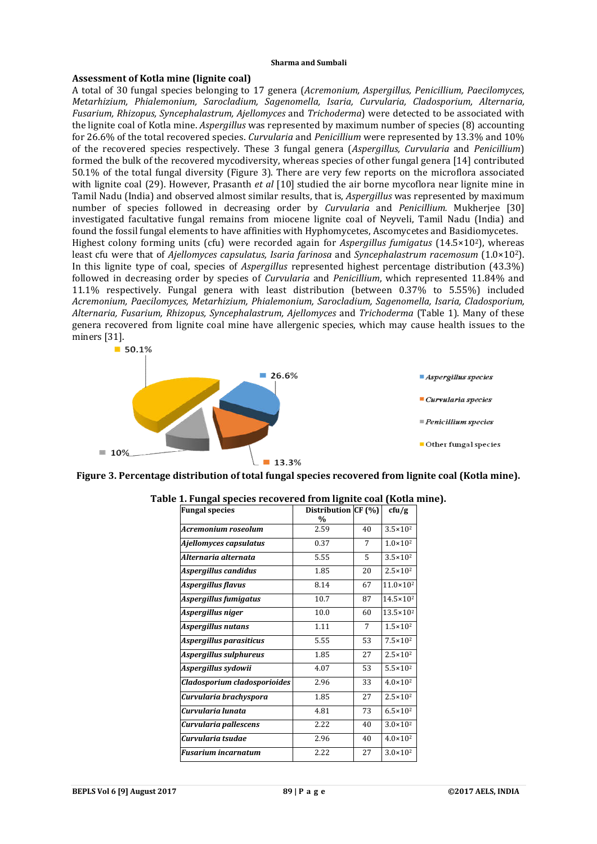# **Assessment of Kotla mine (lignite coal)**

A total of 30 fungal species belonging to 17 genera (*Acremonium, Aspergillus, Penicillium, Paecilomyces, Metarhizium, Phialemonium, Sarocladium, Sagenomella, Isaria, Curvularia, Cladosporium, Alternaria, Fusarium, Rhizopus, Syncephalastrum, Ajellomyces* and *Trichoderma*) were detected to be associated with the lignite coal of Kotla mine. *Aspergillus* was represented by maximum number of species (8) accounting for 26.6% of the total recovered species. *Curvularia* and *Penicillium* were represented by 13.3% and 10% of the recovered species respectively. These 3 fungal genera (*Aspergillus, Curvularia* and *Penicillium*) formed the bulk of the recovered mycodiversity, whereas species of other fungal genera [14] contributed 50.1% of the total fungal diversity (Figure 3). There are very few reports on the microflora associated with lignite coal (29). However, Prasanth *et al* [10] studied the air borne mycoflora near lignite mine in Tamil Nadu (India) and observed almost similar results, that is, *Aspergillus* was represented by maximum number of species followed in decreasing order by *Curvularia* and *Penicillium.* Mukherjee [30] investigated facultative fungal remains from miocene lignite coal of Neyveli, Tamil Nadu (India) and found the fossil fungal elements to have affinities with Hyphomycetes, Ascomycetes and Basidiomycetes. Highest colony forming units (cfu) were recorded again for *Aspergillus fumigatus* (14.5×102), whereas least cfu were that of *Ajellomyces capsulatus, Isaria farinosa* and *Syncephalastrum racemosum* (1.0×102). In this lignite type of coal, species of *Aspergillus* represented highest percentage distribution (43.3%) followed in decreasing order by species of *Curvularia* and *Penicillium*, which represented 11.84% and 11.1% respectively. Fungal genera with least distribution (between 0.37% to 5.55%) included *Acremonium, Paecilomyces, Metarhizium, Phialemonium, Sarocladium, Sagenomella, Isaria, Cladosporium, Alternaria, Fusarium, Rhizopus, Syncephalastrum, Ajellomyces* and *Trichoderma* (Table 1). Many of these genera recovered from lignite coal mine have allergenic species, which may cause health issues to the miners [31].



**Figure 3. Percentage distribution of total fungal species recovered from lignite coal (Kotla mine).**

| <b>Fungal species</b>        | Distribution $CF (%)$ |    | ctu/g                |
|------------------------------|-----------------------|----|----------------------|
|                              | %                     |    |                      |
| Acremonium roseolum          | 2.59                  | 40 | $3.5 \times 10^{2}$  |
| Ajellomyces capsulatus       | 0.37                  | 7  | $1.0 \times 10^{2}$  |
| Alternaria alternata         | 5.55                  | 5  | $3.5 \times 10^{2}$  |
| Aspergillus candidus         | 1.85                  | 20 | $2.5 \times 10^{2}$  |
| Aspergillus flavus           | 8.14                  | 67 | $11.0 \times 10^{2}$ |
| Aspergillus fumigatus        | 10.7                  | 87 | $14.5 \times 10^{2}$ |
| Aspergillus niger            | 10.0                  | 60 | $13.5 \times 10^{2}$ |
| Aspergillus nutans           | 1.11                  | 7  | $1.5 \times 10^{2}$  |
| Aspergillus parasiticus      | 5.55                  | 53 | $7.5 \times 10^{2}$  |
| Aspergillus sulphureus       | 1.85                  | 27 | $2.5 \times 10^{2}$  |
| Aspergillus sydowii          | 4.07                  | 53 | $5.5 \times 10^{2}$  |
| Cladosporium cladosporioides | 2.96                  | 33 | $4.0 \times 10^{2}$  |
| Curvularia brachyspora       | 1.85                  | 27 | $2.5 \times 10^{2}$  |
| Curvularia lunata            | 4.81                  | 73 | $6.5 \times 10^{2}$  |
| Curvularia pallescens        | 2.22                  | 40 | $3.0 \times 10^{2}$  |
| Curvularia tsudae            | 2.96                  | 40 | $4.0 \times 10^{2}$  |
| <b>Fusarium incarnatum</b>   | 2.22                  | 27 | $3.0 \times 10^{2}$  |

**Table 1. Fungal species recovered from lignite coal (Kotla mine).**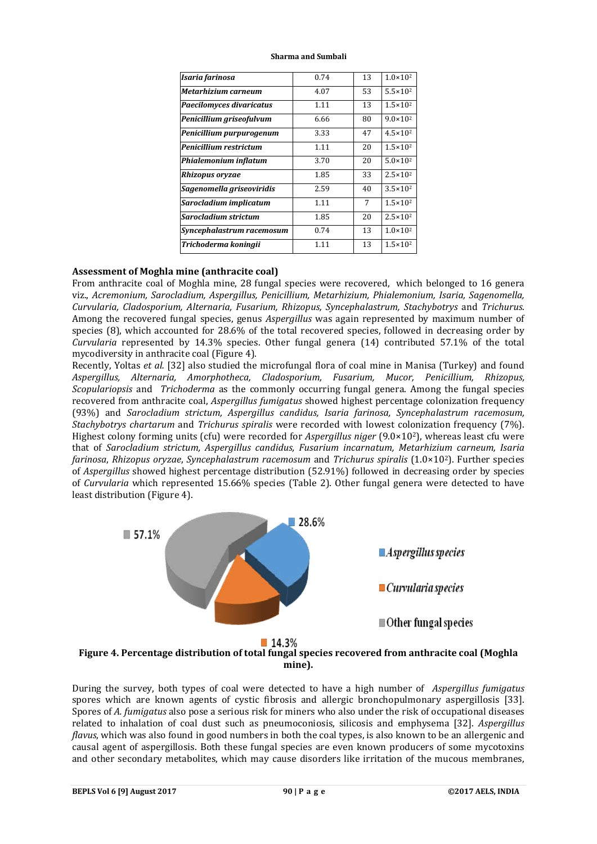| 0.74 | 13 | $1.0 \times 10^{2}$ |
|------|----|---------------------|
| 4.07 | 53 | $5.5 \times 10^{2}$ |
| 1.11 | 13 | $1.5 \times 10^{2}$ |
| 6.66 | 80 | $9.0 \times 10^{2}$ |
| 3.33 | 47 | $4.5 \times 10^{2}$ |
| 1.11 | 20 | $1.5 \times 10^{2}$ |
| 3.70 | 20 | $5.0 \times 10^{2}$ |
| 1.85 | 33 | $2.5 \times 10^{2}$ |
| 2.59 | 40 | $3.5 \times 10^{2}$ |
| 1.11 | 7  | $1.5 \times 10^{2}$ |
| 1.85 | 20 | $2.5 \times 10^{2}$ |
| 0.74 | 13 | $1.0 \times 10^{2}$ |
| 1.11 | 13 | $1.5 \times 10^{2}$ |
|      |    |                     |

# **Assessment of Moghla mine (anthracite coal)**

From anthracite coal of Moghla mine, 28 fungal species were recovered, which belonged to 16 genera viz., *Acremonium, Sarocladium, Aspergillus, Penicillium, Metarhizium, Phialemonium, Isaria, Sagenomella, Curvularia, Cladosporium, Alternaria, Fusarium, Rhizopus, Syncephalastrum, Stachybotrys* and *Trichurus*. Among the recovered fungal species, genus *Aspergillus* was again represented by maximum number of species (8), which accounted for 28.6% of the total recovered species, followed in decreasing order by *Curvularia* represented by 14.3% species. Other fungal genera (14) contributed 57.1% of the total mycodiversity in anthracite coal (Figure 4).

Recently, Yoltas *et al.* [32] also studied the microfungal flora of coal mine in Manisa (Turkey) and found *Aspergillus, Alternaria, Amorphotheca, Cladosporium, Fusarium, Mucor, Penicillium, Rhizopus, Scopulariopsis* and *Trichoderma* as the commonly occurring fungal genera. Among the fungal species recovered from anthracite coal, *Aspergillus fumigatus* showed highest percentage colonization frequency (93%) and *Sarocladium strictum, Aspergillus candidus, Isaria farinosa, Syncephalastrum racemosum, Stachybotrys chartarum* and *Trichurus spiralis* were recorded with lowest colonization frequency (7%). Highest colony forming units (cfu) were recorded for *Aspergillus niger* (9.0×102), whereas least cfu were that of *Sarocladium strictum, Aspergillus candidus, Fusarium incarnatum, Metarhizium carneum, Isaria farinosa*, *Rhizopus oryzae*, *Syncephalastrum racemosum* and *Trichurus spiralis* (1.0×102). Further species of *Aspergillus* showed highest percentage distribution (52.91%) followed in decreasing order by species of *Curvularia* which represented 15.66% species (Table 2). Other fungal genera were detected to have least distribution (Figure 4).



**mine).**

During the survey, both types of coal were detected to have a high number of *Aspergillus fumigatus* spores which are known agents of cystic fibrosis and allergic bronchopulmonary aspergillosis [33]. Spores of *A. fumigatus* also pose a serious risk for miners who also under the risk of occupational diseases related to inhalation of coal dust such as pneumoconiosis, silicosis and emphysema [32]. *Aspergillus flavus*, which was also found in good numbers in both the coal types, is also known to be an allergenic and causal agent of aspergillosis. Both these fungal species are even known producers of some mycotoxins and other secondary metabolites, which may cause disorders like irritation of the mucous membranes,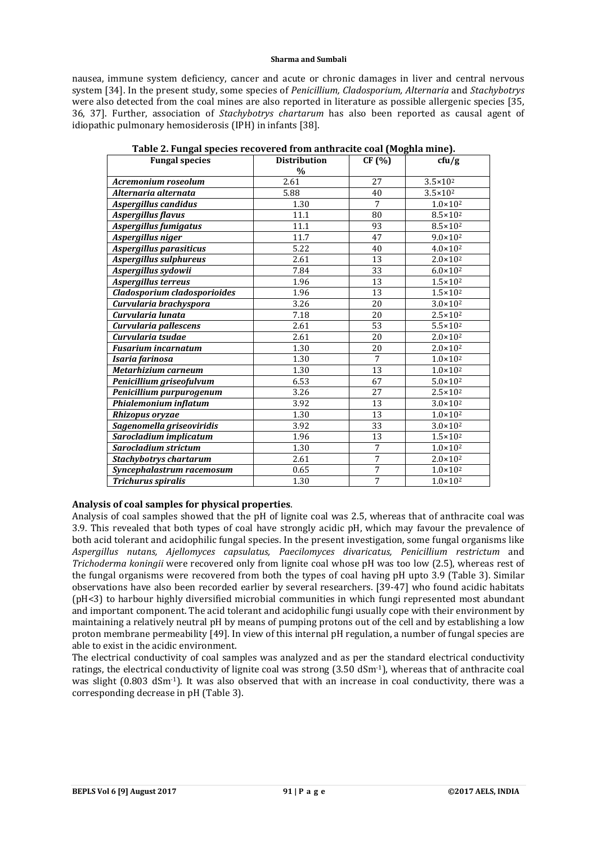nausea, immune system deficiency, cancer and acute or chronic damages in liver and central nervous system [34]. In the present study, some species of *Penicillium, Cladosporium, Alternaria* and *Stachybotrys*  were also detected from the coal mines are also reported in literature as possible allergenic species [35, 36, 37]. Further, association of *Stachybotrys chartarum* has also been reported as causal agent of idiopathic pulmonary hemosiderosis (IPH) in infants [38].

| <b>Fungal species</b>        | <b>Distribution</b> | CF(%)           | ctu/g               |
|------------------------------|---------------------|-----------------|---------------------|
|                              | $\%$                |                 |                     |
| Acremonium roseolum          | 2.61                | 27              | $3.5 \times 10^{2}$ |
| Alternaria alternata         | 5.88                | 40              | $3.5 \times 10^{2}$ |
| Aspergillus candidus         | 1.30                | $\overline{7}$  | $1.0 \times 10^{2}$ |
| <b>Aspergillus flavus</b>    | 11.1                | 80              | $8.5 \times 10^{2}$ |
| Aspergillus fumigatus        | 11.1                | 93              | $8.5 \times 10^{2}$ |
| Aspergillus niger            | 11.7                | 47              | $9.0 \times 10^{2}$ |
| Aspergillus parasiticus      | 5.22                | 40              | $4.0 \times 10^{2}$ |
| Aspergillus sulphureus       | 2.61                | 13              | $2.0 \times 10^{2}$ |
| Aspergillus sydowii          | 7.84                | 33              | $6.0 \times 10^{2}$ |
| Aspergillus terreus          | 1.96                | 13              | $1.5 \times 10^{2}$ |
| Cladosporium cladosporioides | 1.96                | 13              | $1.5 \times 10^{2}$ |
| Curvularia brachyspora       | 3.26                | 20              | $3.0 \times 10^{2}$ |
| Curvularia lunata            | 7.18                | 20              | $2.5 \times 10^{2}$ |
| Curvularia pallescens        | 2.61                | 53              | $5.5 \times 10^{2}$ |
| Curvularia tsudae            | 2.61                | 20              | $2.0 \times 10^{2}$ |
| <b>Fusarium incarnatum</b>   | 1.30                | $20\,$          | $2.0 \times 10^{2}$ |
| Isaria farinosa              | 1.30                | 7               | $1.0 \times 10^{2}$ |
| Metarhizium carneum          | 1.30                | 13              | $1.0 \times 10^{2}$ |
| Penicillium griseofulvum     | 6.53                | 67              | $5.0 \times 10^{2}$ |
| Penicillium purpurogenum     | 3.26                | 27              | $2.5 \times 10^{2}$ |
| <b>Phialemonium inflatum</b> | 3.92                | $\overline{13}$ | $3.0 \times 10^{2}$ |
| <b>Rhizopus oryzae</b>       | 1.30                | 13              | $1.0 \times 10^{2}$ |
| Sagenomella griseoviridis    | 3.92                | 33              | $3.0 \times 10^{2}$ |
| Sarocladium implicatum       | 1.96                | 13              | $1.5 \times 10^{2}$ |
| Sarocladium strictum         | 1.30                | 7               | $1.0 \times 10^{2}$ |
| Stachybotrys chartarum       | 2.61                | $\overline{7}$  | $2.0 \times 10^{2}$ |
| Syncephalastrum racemosum    | 0.65                | $\overline{7}$  | $1.0 \times 10^{2}$ |
| <b>Trichurus spiralis</b>    | 1.30                | $\overline{7}$  | $1.0 \times 10^{2}$ |

**Table 2. Fungal species recovered from anthracite coal (Moghla mine).**

# **Analysis of coal samples for physical properties**.

Analysis of coal samples showed that the pH of lignite coal was 2.5, whereas that of anthracite coal was 3.9. This revealed that both types of coal have strongly acidic pH, which may favour the prevalence of both acid tolerant and acidophilic fungal species. In the present investigation, some fungal organisms like *Aspergillus nutans, Ajellomyces capsulatus, Paecilomyces divaricatus, Penicillium restrictum* and *Trichoderma koningii* were recovered only from lignite coal whose pH was too low (2.5), whereas rest of the fungal organisms were recovered from both the types of coal having pH upto 3.9 (Table 3). Similar observations have also been recorded earlier by several researchers. [39-47] who found acidic habitats (pH<3) to harbour highly diversified microbial communities in which fungi represented most abundant and important component. The acid tolerant and acidophilic fungi usually cope with their environment by maintaining a relatively neutral pH by means of pumping protons out of the cell and by establishing a low proton membrane permeability [49]. In view of this internal pH regulation, a number of fungal species are able to exist in the acidic environment.

The electrical conductivity of coal samples was analyzed and as per the standard electrical conductivity ratings, the electrical conductivity of lignite coal was strong (3.50 dSm-1), whereas that of anthracite coal was slight (0.803 dSm-1). It was also observed that with an increase in coal conductivity, there was a corresponding decrease in pH (Table 3).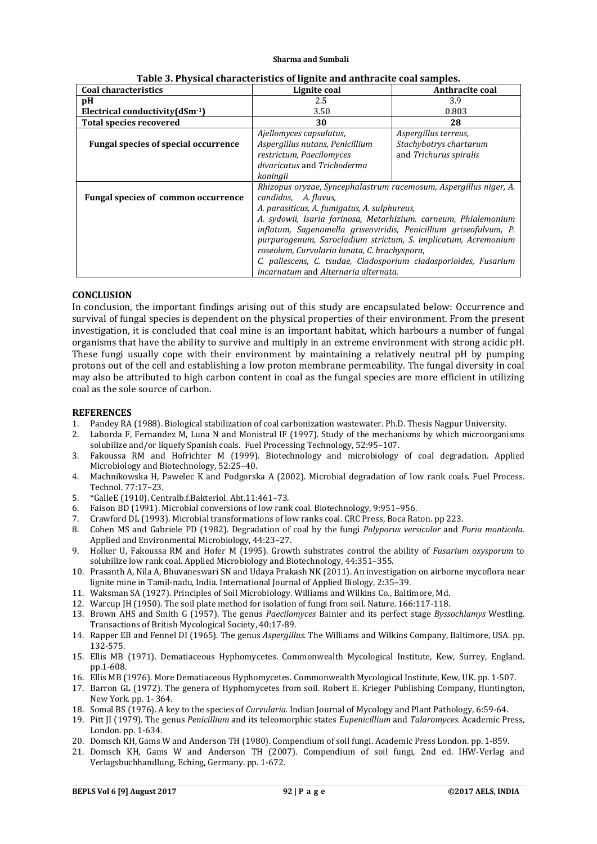| <b>Coal characteristics</b>                                       | Lignite coal                                                      | <b>Anthracite coal</b> |  |
|-------------------------------------------------------------------|-------------------------------------------------------------------|------------------------|--|
| pН                                                                | 2.5                                                               | 3.9                    |  |
| Electrical conductivity $(dSm-1)$                                 | 3.50                                                              | 0.803                  |  |
| <b>Total species recovered</b>                                    | 30                                                                | 28                     |  |
|                                                                   | Ajellomyces capsulatus,                                           | Aspergillus terreus,   |  |
| <b>Fungal species of special occurrence</b>                       | Aspergillus nutans, Penicillium                                   | Stachybotrys chartarum |  |
|                                                                   | restrictum, Paecilomyces                                          | and Trichurus spiralis |  |
|                                                                   | divaricatus and Trichoderma                                       |                        |  |
|                                                                   | koningii                                                          |                        |  |
|                                                                   | Rhizopus oryzae, Syncephalastrum racemosum, Aspergillus niger, A. |                        |  |
| <b>Fungal species of common occurrence</b>                        | candidus, A. flavus,                                              |                        |  |
|                                                                   | A. parasiticus, A. fumigatus, A. sulphureus,                      |                        |  |
|                                                                   | A. sydowii, Isaria farinosa, Metarhizium. carneum, Phialemonium   |                        |  |
| inflatum, Sagenomella griseoviridis, Penicillium griseofulvum, P. |                                                                   |                        |  |
|                                                                   | purpurogenum, Sarocladium strictum, S. implicatum, Acremonium     |                        |  |
|                                                                   | roseolum, Curvularia lunata, C. brachyspora,                      |                        |  |
|                                                                   | C. pallescens, C. tsudae, Cladosporium cladosporioides, Fusarium  |                        |  |
|                                                                   | incarnatum and Alternaria alternata.                              |                        |  |

| Table 3. Physical characteristics of lignite and anthracite coal samples. |  |
|---------------------------------------------------------------------------|--|
|---------------------------------------------------------------------------|--|

# **CONCLUSION**

In conclusion, the important findings arising out of this study are encapsulated below: Occurrence and survival of fungal species is dependent on the physical properties of their environment. From the present investigation, it is concluded that coal mine is an important habitat, which harbours a number of fungal organisms that have the ability to survive and multiply in an extreme environment with strong acidic pH. These fungi usually cope with their environment by maintaining a relatively neutral pH by pumping protons out of the cell and establishing a low proton membrane permeability. The fungal diversity in coal may also be attributed to high carbon content in coal as the fungal species are more efficient in utilizing coal as the sole source of carbon.

# **REFERENCES**

- 1. Pandey RA (1988). Biological stabilization of coal carbonization wastewater. Ph.D. Thesis Nagpur University.
- 2. Laborda F, Fernandez M, Luna N and Monistral IF (1997). Study of the mechanisms by which microorganisms solubilize and/or liquefy Spanish coals. Fuel Processing Technology, 52:95–107.
- 3. Fakoussa RM and Hofrichter M (1999). Biotechnology and microbiology of coal degradation. Applied Microbiology and Biotechnology, 52:25–40.
- 4. Machnikowska H, Pawelec K and Podgorska A (2002). Microbial degradation of low rank coals. Fuel Process. Technol. 77:17–23.
- 5. \*GalleE (1910). Centralb.f.Bakteriol. Abt.11:461–73.
- 6. Faison BD (1991). Microbial conversions of low rank coal. Biotechnology, 9:951–956.
- 7. Crawford DL (1993). Microbial transformations of low ranks coal. CRC Press, Boca Raton. pp 223.
- 8. Cohen MS and Gabriele PD (1982). Degradation of coal by the fungi *Polyporus versicolor* and *Poria monticola.*  Applied and Environmental Microbiology, 44:23–27.
- 9. Holker U, Fakoussa RM and Hofer M (1995). Growth substrates control the ability of *Fusarium oxysporum* to solubilize low rank coal. Applied Microbiology and Biotechnology, 44:351–355.
- 10. Prasanth A, Nila A, Bhuvaneswari SN and Udaya Prakash NK (2011). An investigation on airborne mycoflora near lignite mine in Tamil-nadu, India. International Journal of Applied Biology, 2:35–39.
- 11. Waksman SA (1927). Principles of Soil Microbiology. Williams and Wilkins Co., Baltimore, Md.
- 12. Warcup JH (1950). The soil plate method for isolation of fungi from soil. Nature. 166:117-118.
- 13. Brown AHS and Smith G (1957). The genus *Paecilomyces* Bainier and its perfect stage *Byssochlamys* Westling. Transactions of British Mycological Society, 40:17-89.
- 14. Rapper EB and Fennel DI (1965). The genus *Aspergillus.* The Williams and Wilkins Company, Baltimore, USA. pp. 132-575.
- 15. Ellis MB (1971). Dematiaceous Hyphomycetes. Commonwealth Mycological Institute, Kew, Surrey, England. pp.1-608.
- 16. Ellis MB (1976). More Dematiaceous Hyphomycetes. Commonwealth Mycological Institute, Kew, UK. pp. 1-507.
- 17. Barron GL (1972). The genera of Hyphomycetes from soil. Robert E. Krieger Publishing Company, Huntington, New York. pp. 1- 364.
- 18. Somal BS (1976). A key to the species of *Curvularia.* Indian Journal of Mycology and Plant Pathology, 6:59-64.
- 19. Pitt JI (1979). The genus *Penicillium* and its teleomorphic states *Eupenicillium* and *Talaromyces.* Academic Press, London. pp. 1-634.
- 20. Domsch KH, Gams W and Anderson TH (1980). Compendium of soil fungi. Academic Press London. pp. 1-859.
- 21. Domsch KH, Gams W and Anderson TH (2007). Compendium of soil fungi, 2nd ed. IHW-Verlag and Verlagsbuchhandlung, Eching, Germany. pp. 1-672.